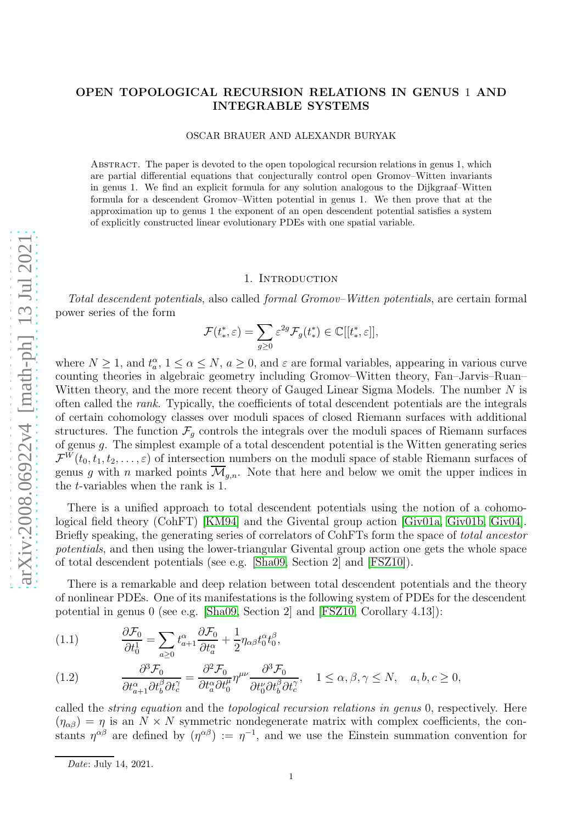# OPEN TOPOLOGICAL RECURSION RELATIONS IN GENUS 1 AND INTEGRABLE SYSTEMS

OSCAR BRAUER AND ALEXANDR BURYAK

Abstract. The paper is devoted to the open topological recursion relations in genus 1, which are partial differential equations that conjecturally control open Gromov–Witten invariants in genus 1. We find an explicit formula for any solution analogous to the Dijkgraaf–Witten formula for a descendent Gromov–Witten potential in genus 1. We then prove that at the approximation up to genus 1 the exponent of an open descendent potential satisfies a system of explicitly constructed linear evolutionary PDEs with one spatial variable.

### 1. INTRODUCTION

Total descendent potentials, also called formal Gromov–Witten potentials, are certain formal power series of the form

$$
\mathcal{F}(t^*,\varepsilon)=\sum_{g\geq 0}\varepsilon^{2g}\mathcal{F}_g(t^*)\in\mathbb C[[t^*_*,\varepsilon]],
$$

where  $N \geq 1$ , and  $t_a^{\alpha}$ ,  $1 \leq \alpha \leq N$ ,  $a \geq 0$ , and  $\varepsilon$  are formal variables, appearing in various curve counting theories in algebraic geometry including Gromov–Witten theory, Fan–Jarvis–Ruan– Witten theory, and the more recent theory of Gauged Linear Sigma Models. The number  $N$  is often called the rank. Typically, the coefficients of total descendent potentials are the integrals of certain cohomology classes over moduli spaces of closed Riemann surfaces with additional structures. The function  $\mathcal{F}_g$  controls the integrals over the moduli spaces of Riemann surfaces of genus g. The simplest example of a total descendent potential is the Witten generating series  $\mathcal{F}^{W}(t_0, t_1, t_2, \ldots, \varepsilon)$  of intersection numbers on the moduli space of stable Riemann surfaces of genus g with n marked points  $\overline{\mathcal{M}}_{g,n}$ . Note that here and below we omit the upper indices in the t-variables when the rank is 1.

There is a unified approach to total descendent potentials using the notion of a cohomological field theory (CohFT) [\[KM94\]](#page-11-0) and the Givental group action [\[Giv01a,](#page-10-0) [Giv01b,](#page-10-1) [Giv04\]](#page-11-1). Briefly speaking, the generating series of correlators of CohFTs form the space of total ancestor potentials, and then using the lower-triangular Givental group action one gets the whole space of total descendent potentials (see e.g. [\[Sha09,](#page-11-2) Section 2] and [\[FSZ10\]](#page-10-2)).

There is a remarkable and deep relation between total descendent potentials and the theory of nonlinear PDEs. One of its manifestations is the following system of PDEs for the descendent potential in genus 0 (see e.g. [\[Sha09,](#page-11-2) Section 2] and [\[FSZ10,](#page-10-2) Corollary 4.13]):

<span id="page-0-1"></span>(1.1) 
$$
\frac{\partial \mathcal{F}_0}{\partial t_0^1} = \sum_{a \ge 0} t_{a+1}^{\alpha} \frac{\partial \mathcal{F}_0}{\partial t_a^{\alpha}} + \frac{1}{2} \eta_{\alpha\beta} t_0^{\alpha} t_0^{\beta},
$$

<span id="page-0-0"></span>(1.2) 
$$
\frac{\partial^3 \mathcal{F}_0}{\partial t_{a+1}^{\alpha} \partial t_b^{\beta} \partial t_c^{\gamma}} = \frac{\partial^2 \mathcal{F}_0}{\partial t_a^{\alpha} \partial t_b^{\mu}} \eta^{\mu \nu} \frac{\partial^3 \mathcal{F}_0}{\partial t_b^{\nu} \partial t_b^{\beta} \partial t_c^{\gamma}}, \quad 1 \le \alpha, \beta, \gamma \le N, \quad a, b, c \ge 0,
$$

called the string equation and the topological recursion relations in genus 0, respectively. Here  $(\eta_{\alpha\beta}) = \eta$  is an  $N \times N$  symmetric nondegenerate matrix with complex coefficients, the constants  $\eta^{\alpha\beta}$  are defined by  $(\eta^{\alpha\beta}) := \eta^{-1}$ , and we use the Einstein summation convention for

Date: July 14, 2021.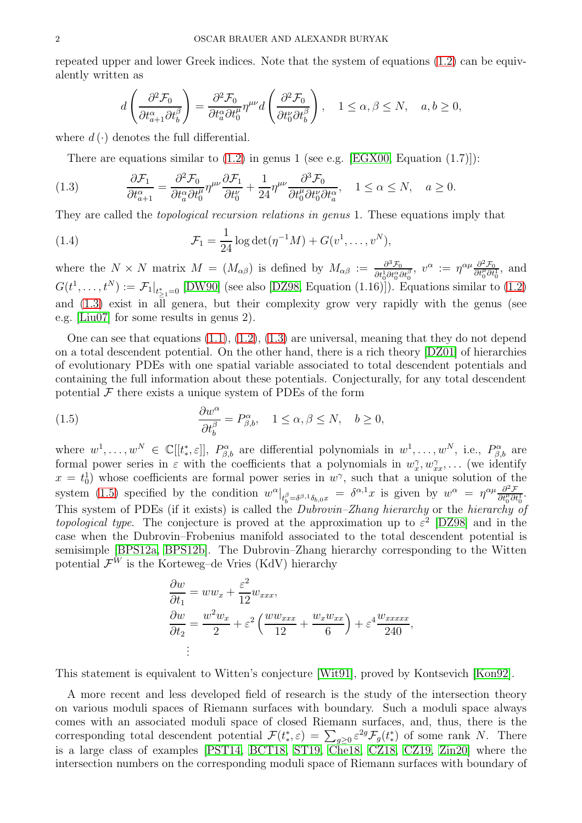repeated upper and lower Greek indices. Note that the system of equations [\(1.2\)](#page-0-0) can be equivalently written as

$$
d\left(\frac{\partial^2 \mathcal{F}_0}{\partial t_{a+1}^{\alpha}\partial t_b^{\beta}}\right)=\frac{\partial^2 \mathcal{F}_0}{\partial t_a^{\alpha}\partial t_0^{\mu}}\eta^{\mu\nu}d\left(\frac{\partial^2 \mathcal{F}_0}{\partial t_0^{\nu}\partial t_b^{\beta}}\right), \quad 1\leq \alpha, \beta \leq N, \quad a,b\geq 0,
$$

where  $d(\cdot)$  denotes the full differential.

There are equations similar to  $(1.2)$  in genus 1 (see e.g. [\[EGX00,](#page-10-3) Equation  $(1.7)$ ]):

<span id="page-1-0"></span>(1.3) 
$$
\frac{\partial \mathcal{F}_1}{\partial t_{a+1}^{\alpha}} = \frac{\partial^2 \mathcal{F}_0}{\partial t_a^{\alpha} \partial t_0^{\mu}} \eta^{\mu\nu} \frac{\partial \mathcal{F}_1}{\partial t_0^{\nu}} + \frac{1}{24} \eta^{\mu\nu} \frac{\partial^3 \mathcal{F}_0}{\partial t_0^{\mu} \partial t_0^{\nu} \partial t_a^{\alpha}}, \quad 1 \le \alpha \le N, \quad a \ge 0.
$$

They are called the topological recursion relations in genus 1. These equations imply that

<span id="page-1-2"></span>(1.4) 
$$
\mathcal{F}_1 = \frac{1}{24} \log \det(\eta^{-1} M) + G(v^1, \dots, v^N),
$$

where the  $N \times N$  matrix  $M = (M_{\alpha\beta})$  is defined by  $M_{\alpha\beta} := \frac{\partial^3 \mathcal{F}_0}{\partial H \partial \mathcal{F}^{\alpha\beta}}$  $\frac{\partial^3 \mathcal{F}_0}{\partial t_0^1 \partial t_0^\alpha \partial t_0^\beta}$ ,  $v^\alpha := \eta^{\alpha \mu} \frac{\partial^2 \mathcal{F}_0}{\partial t_0^\mu \partial t_0^1}$ , and  $G(t^1,\ldots,t^N):=\left.\mathcal{F}_1\right|_{t^*_{\ge 1}=0}$  [\[DW90\]](#page-10-4) (see also [\[DZ98,](#page-10-5) Equation (1.16)]). Equations similar to [\(1.2\)](#page-0-0) and [\(1.3\)](#page-1-0) exist in all genera, but their complexity grow very rapidly with the genus (see e.g. [\[Liu07\]](#page-11-3) for some results in genus 2).

One can see that equations  $(1.1), (1.2), (1.3)$  $(1.1), (1.2), (1.3)$  $(1.1), (1.2), (1.3)$  $(1.1), (1.2), (1.3)$  are universal, meaning that they do not depend on a total descendent potential. On the other hand, there is a rich theory [\[DZ01\]](#page-10-6) of hierarchies of evolutionary PDEs with one spatial variable associated to total descendent potentials and containing the full information about these potentials. Conjecturally, for any total descendent potential  $\mathcal F$  there exists a unique system of PDEs of the form

<span id="page-1-1"></span>(1.5) 
$$
\frac{\partial w^{\alpha}}{\partial t_{b}^{\beta}} = P^{\alpha}_{\beta,b}, \quad 1 \leq \alpha, \beta \leq N, \quad b \geq 0,
$$

where  $w^1, \ldots, w^N \in \mathbb{C}[[t^*, \varepsilon]], P^{\alpha}_{\beta,b}$  are differential polynomials in  $w^1, \ldots, w^N$ , i.e.,  $P^{\alpha}_{\beta,b}$  are formal power series in  $\varepsilon$  with the coefficients that a polynomials in  $w_x^{\gamma}, w_{xx}^{\gamma}, \ldots$  (we identify  $x = t_0^1$  whose coefficients are formal power series in  $w^{\gamma}$ , such that a unique solution of the system [\(1.5\)](#page-1-1) specified by the condition  $w^{\alpha}|_{t_b^{\beta} = \delta^{\beta,1}\delta_{b,0}x} = \delta^{\alpha,1}x$  is given by  $w^{\alpha} = \eta^{\alpha\mu}\frac{\partial^2 \mathcal{F}}{\partial t_0^{\mu}\partial t_0^1}$ . This system of PDEs (if it exists) is called the *Dubrovin–Zhang hierarchy* or the *hierarchy* of topological type. The conjecture is proved at the approximation up to  $\varepsilon^2$  [\[DZ98\]](#page-10-5) and in the case when the Dubrovin–Frobenius manifold associated to the total descendent potential is semisimple [\[BPS12a,](#page-10-7) [BPS12b\]](#page-10-8). The Dubrovin–Zhang hierarchy corresponding to the Witten potential  $\mathcal{F}^W$  is the Korteweg–de Vries (KdV) hierarchy

$$
\frac{\partial w}{\partial t_1} = ww_x + \frac{\varepsilon^2}{12}w_{xxx},
$$
  

$$
\frac{\partial w}{\partial t_2} = \frac{w^2 w_x}{2} + \varepsilon^2 \left(\frac{w w_{xxx}}{12} + \frac{w_x w_{xx}}{6}\right) + \varepsilon^4 \frac{w_{xxxx}}{240},
$$
  
:

This statement is equivalent to Witten's conjecture [\[Wit91\]](#page-11-4), proved by Kontsevich [\[Kon92\]](#page-11-5).

A more recent and less developed field of research is the study of the intersection theory on various moduli spaces of Riemann surfaces with boundary. Such a moduli space always comes with an associated moduli space of closed Riemann surfaces, and, thus, there is the corresponding total descendent potential  $\mathcal{F}(t^*,\varepsilon) = \sum_{g\geq 0} \varepsilon^{2g} \mathcal{F}_g(t^*)$  of some rank N. There is a large class of examples [\[PST14,](#page-11-6) [BCT18,](#page-10-9) [ST19,](#page-11-7) [Che18,](#page-10-10) [CZ18,](#page-10-11) [CZ19,](#page-10-12) [Zin20\]](#page-11-8) where the intersection numbers on the corresponding moduli space of Riemann surfaces with boundary of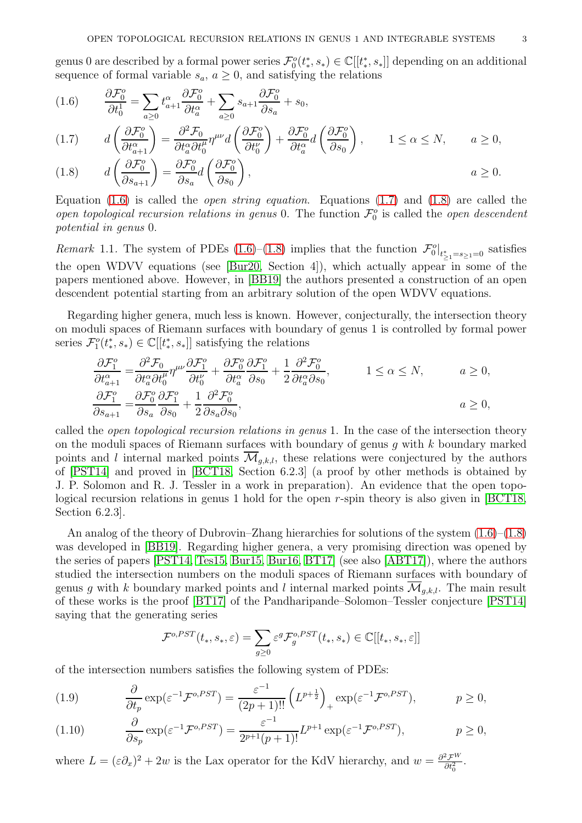genus 0 are described by a formal power series  $\mathcal{F}_0^o(t^*, s_*) \in \mathbb{C}[[t^*, s_*]]$  depending on an additional sequence of formal variable  $s_a, a \geq 0$ , and satisfying the relations

<span id="page-2-0"></span>
$$
(1.6) \qquad \frac{\partial \mathcal{F}_0^o}{\partial t_0^1} = \sum_{a \ge 0} t_{a+1}^\alpha \frac{\partial \mathcal{F}_0^o}{\partial t_a^\alpha} + \sum_{a \ge 0} s_{a+1} \frac{\partial \mathcal{F}_0^o}{\partial s_a} + s_0,
$$

<span id="page-2-1"></span>
$$
(1.7) \t d\left(\frac{\partial \mathcal{F}_0^o}{\partial t_{a+1}^\alpha}\right) = \frac{\partial^2 \mathcal{F}_0}{\partial t_a^\alpha \partial t_0^\mu} \eta^{\mu\nu} d\left(\frac{\partial \mathcal{F}_0^o}{\partial t_0^\nu}\right) + \frac{\partial \mathcal{F}_0^o}{\partial t_a^\alpha} d\left(\frac{\partial \mathcal{F}_0^o}{\partial s_0}\right), \t 1 \le \alpha \le N, \t a \ge 0,
$$

<span id="page-2-2"></span>(1.8) 
$$
d\left(\frac{\partial \mathcal{F}_0^o}{\partial s_{a+1}}\right) = \frac{\partial \mathcal{F}_0^o}{\partial s_a} d\left(\frac{\partial \mathcal{F}_0^o}{\partial s_0}\right), \qquad a \ge 0.
$$

Equation [\(1.6\)](#page-2-0) is called the *open string equation*. Equations [\(1.7\)](#page-2-1) and [\(1.8\)](#page-2-2) are called the open topological recursion relations in genus 0. The function  $\mathcal{F}_0^o$  is called the open descendent potential in genus 0.

Remark 1.1. The system of PDEs [\(1.6\)](#page-2-0)–[\(1.8\)](#page-2-2) implies that the function  $\mathcal{F}_0^o|_{t^*_{\geq 1} = s_{\geq 1} = 0}$  satisfies the open WDVV equations (see [\[Bur20,](#page-10-13) Section 4]), which actually appear in some of the papers mentioned above. However, in [\[BB19\]](#page-10-14) the authors presented a construction of an open descendent potential starting from an arbitrary solution of the open WDVV equations.

Regarding higher genera, much less is known. However, conjecturally, the intersection theory on moduli spaces of Riemann surfaces with boundary of genus 1 is controlled by formal power series  $\mathcal{F}_{1}^{o}(t_{*}^{*}, s_{*}) \in \mathbb{C}[[t_{*}^{*}, s_{*}]]$  satisfying the relations

$$
\frac{\partial \mathcal{F}_1^o}{\partial t_{a+1}^\alpha} = \frac{\partial^2 \mathcal{F}_0}{\partial t_a^\alpha \partial t_0^\mu} \eta^{\mu\nu} \frac{\partial \mathcal{F}_1^o}{\partial t_0^\nu} + \frac{\partial \mathcal{F}_0^o}{\partial t_a^\alpha} \frac{\partial \mathcal{F}_1^o}{\partial s_0} + \frac{1}{2} \frac{\partial^2 \mathcal{F}_0^o}{\partial t_a^\alpha \partial s_0}, \qquad 1 \le \alpha \le N, \qquad a \ge 0,
$$
  

$$
\frac{\partial \mathcal{F}_1^o}{\partial s_{a+1}} = \frac{\partial \mathcal{F}_0^o}{\partial s_a} \frac{\partial \mathcal{F}_1^o}{\partial s_0} + \frac{1}{2} \frac{\partial^2 \mathcal{F}_0^o}{\partial s_a \partial s_0}, \qquad a \ge 0,
$$

called the open topological recursion relations in genus 1. In the case of the intersection theory on the moduli spaces of Riemann surfaces with boundary of genus q with  $k$  boundary marked points and l internal marked points  $\mathcal{M}_{q,k,l}$ , these relations were conjectured by the authors of [\[PST14\]](#page-11-6) and proved in [\[BCT18,](#page-10-9) Section 6.2.3] (a proof by other methods is obtained by J. P. Solomon and R. J. Tessler in a work in preparation). An evidence that the open topological recursion relations in genus 1 hold for the open r-spin theory is also given in [\[BCT18,](#page-10-9) Section 6.2.3].

An analog of the theory of Dubrovin–Zhang hierarchies for solutions of the system [\(1.6\)](#page-2-0)–[\(1.8\)](#page-2-2) was developed in [\[BB19\]](#page-10-14). Regarding higher genera, a very promising direction was opened by the series of papers [\[PST14,](#page-11-6) [Tes15,](#page-11-9) [Bur15,](#page-10-15) [Bur16,](#page-10-16) [BT17\]](#page-10-17) (see also [\[ABT17\]](#page-10-18)), where the authors studied the intersection numbers on the moduli spaces of Riemann surfaces with boundary of genus g with k boundary marked points and l internal marked points  $\overline{\mathcal{M}}_{q,k,l}$ . The main result of these works is the proof [\[BT17\]](#page-10-17) of the Pandharipande–Solomon–Tessler conjecture [\[PST14\]](#page-11-6) saying that the generating series

$$
\mathcal{F}^{o,PST}(t_*, s_*, \varepsilon) = \sum_{g \ge 0} \varepsilon^g \mathcal{F}^{o,PST}_g(t_*, s_*) \in \mathbb{C}[[t_*, s_*, \varepsilon]]
$$

of the intersection numbers satisfies the following system of PDEs:

<span id="page-2-3"></span>(1.9) 
$$
\frac{\partial}{\partial t_p} \exp(\varepsilon^{-1} \mathcal{F}^{o,PST}) = \frac{\varepsilon^{-1}}{(2p+1)!!} \left( L^{p+\frac{1}{2}} \right)_+ \exp(\varepsilon^{-1} \mathcal{F}^{o,PST}), \qquad p \ge 0,
$$

<span id="page-2-4"></span>(1.10) 
$$
\frac{\partial}{\partial s_p} \exp(\varepsilon^{-1} \mathcal{F}^{o,PST}) = \frac{\varepsilon^{-1}}{2^{p+1}(p+1)!} L^{p+1} \exp(\varepsilon^{-1} \mathcal{F}^{o,PST}), \qquad p \ge 0,
$$

where  $L = (\varepsilon \partial_x)^2 + 2w$  is the Lax operator for the KdV hierarchy, and  $w = \frac{\partial^2 \mathcal{F}^W}{\partial t^2}$  $\frac{\partial F''}{\partial t_0^2}$ .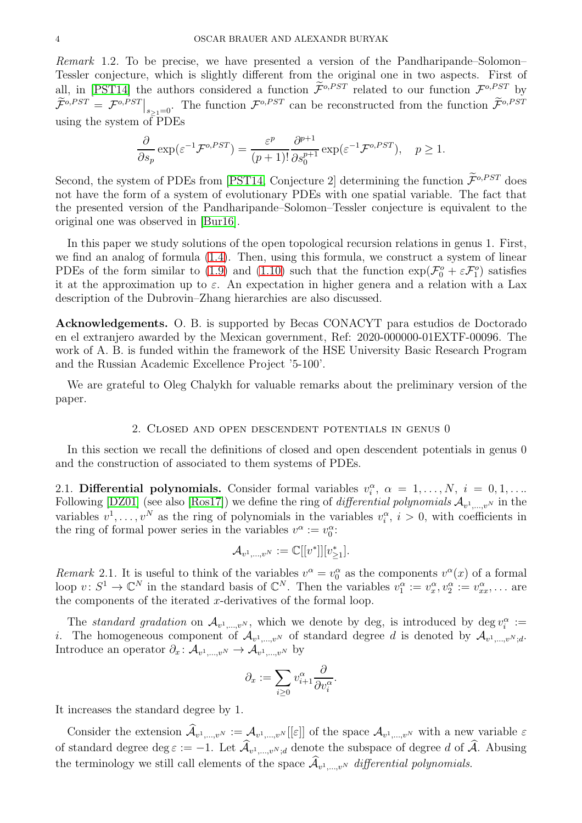Remark 1.2. To be precise, we have presented a version of the Pandharipande–Solomon– Tessler conjecture, which is slightly different from the original one in two aspects. First of all, in [\[PST14\]](#page-11-6) the authors considered a function  $\mathcal{F}^{o,PST}$  related to our function  $\mathcal{F}^{o,PST}$  by  $\widetilde{\mathcal{F}}^{o,PST} = {\mathcal{F}}^{o,PST} \big|_{s_{\geq 1}=0}$ . The function  $\widetilde{\mathcal{F}}^{o,PST}$  can be reconstructed from the function  $\widetilde{\mathcal{F}}^{o,PST}$ using the system of PDEs

$$
\frac{\partial}{\partial s_p} \exp(\varepsilon^{-1} \mathcal{F}^{o,PST}) = \frac{\varepsilon^p}{(p+1)!} \frac{\partial^{p+1}}{\partial s_0^{p+1}} \exp(\varepsilon^{-1} \mathcal{F}^{o,PST}), \quad p \ge 1.
$$

Second, the system of PDEs from [\[PST14,](#page-11-6) Conjecture 2] determining the function  $\widetilde{\mathcal{F}}^{o,PST}$  does not have the form of a system of evolutionary PDEs with one spatial variable. The fact that the presented version of the Pandharipande–Solomon–Tessler conjecture is equivalent to the original one was observed in [\[Bur16\]](#page-10-16).

In this paper we study solutions of the open topological recursion relations in genus 1. First, we find an analog of formula [\(1.4\)](#page-1-2). Then, using this formula, we construct a system of linear PDEs of the form similar to [\(1.9\)](#page-2-3) and [\(1.10\)](#page-2-4) such that the function  $\exp(\mathcal{F}_0^o + \varepsilon \mathcal{F}_1^o)$  satisfies it at the approximation up to  $\varepsilon$ . An expectation in higher genera and a relation with a Lax description of the Dubrovin–Zhang hierarchies are also discussed.

Acknowledgements. O. B. is supported by Becas CONACYT para estudios de Doctorado en el extranjero awarded by the Mexican government, Ref: 2020-000000-01EXTF-00096. The work of A. B. is funded within the framework of the HSE University Basic Research Program and the Russian Academic Excellence Project '5-100'.

We are grateful to Oleg Chalykh for valuable remarks about the preliminary version of the paper.

#### 2. Closed and open descendent potentials in genus 0

In this section we recall the definitions of closed and open descendent potentials in genus 0 and the construction of associated to them systems of PDEs.

2.1. Differential polynomials. Consider formal variables  $v_i^{\alpha}, \alpha = 1, ..., N, i = 0, 1, ...$ Following [\[DZ01\]](#page-10-6) (see also [\[Ros17\]](#page-11-10)) we define the ring of *differential polynomials*  $\mathcal{A}_{v^1,...,v^N}$  in the variables  $v^1, \ldots, v^N$  as the ring of polynomials in the variables  $v_i^{\alpha}, i > 0$ , with coefficients in the ring of formal power series in the variables  $v^{\alpha} := v_0^{\alpha}$ :

$$
\mathcal{A}_{v^1,\dots,v^N} := \mathbb{C}[[v^*]][v^*_{\geq 1}].
$$

Remark 2.1. It is useful to think of the variables  $v^{\alpha} = v_0^{\alpha}$  as the components  $v^{\alpha}(x)$  of a formal loop  $v: S^1 \to \mathbb{C}^N$  in the standard basis of  $\mathbb{C}^N$ . Then the variables  $v_1^{\alpha} := v_x^{\alpha}, v_2^{\alpha} := v_{xx}^{\alpha}, \dots$  are the components of the iterated  $x$ -derivatives of the formal loop.

The standard gradation on  $\mathcal{A}_{v^1,...,v^N}$ , which we denote by deg, is introduced by deg  $v_i^{\alpha}$  := *i*. The homogeneous component of  $\mathcal{A}_{v^1,...,v^N}$  of standard degree d is denoted by  $\mathcal{A}_{v^1,...,v^N;d}$ . Introduce an operator  $\partial_x: \mathcal{A}_{v^1,\dots,v^N} \to \mathcal{A}_{v^1,\dots,v^N}$  by

$$
\partial_x := \sum_{i \geq 0} v_{i+1}^{\alpha} \frac{\partial}{\partial v_i^{\alpha}}.
$$

It increases the standard degree by 1.

Consider the extension  $\mathcal{A}_{v^1,\dots,v^N} := \mathcal{A}_{v^1,\dots,v^N}[[\varepsilon]]$  of the space  $\mathcal{A}_{v^1,\dots,v^N}$  with a new variable  $\varepsilon$ of standard degree deg  $\varepsilon := -1$ . Let  $\mathcal{A}_{v^1,...,v^N;d}$  denote the subspace of degree d of  $\mathcal{A}$ . Abusing the terminology we still call elements of the space  $\mathcal{A}_{v^1,\dots,v^N}$  differential polynomials.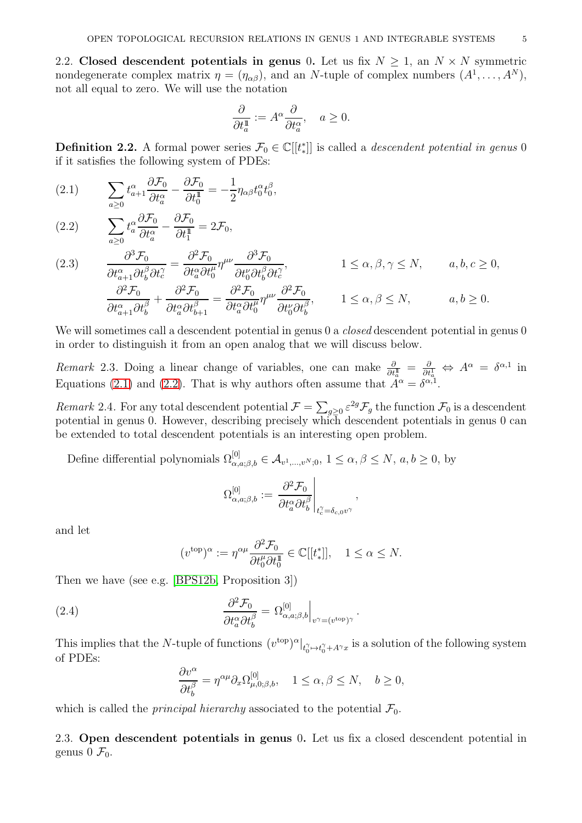2.2. Closed descendent potentials in genus 0. Let us fix  $N > 1$ , an  $N \times N$  symmetric nondegenerate complex matrix  $\eta = (\eta_{\alpha\beta})$ , and an N-tuple of complex numbers  $(A^1, \ldots, A^N)$ , not all equal to zero. We will use the notation

$$
\frac{\partial}{\partial t_a^1} := A^{\alpha} \frac{\partial}{\partial t_a^{\alpha}}, \quad a \ge 0.
$$

**Definition 2.2.** A formal power series  $\mathcal{F}_0 \in \mathbb{C}[[t_*^*]]$  is called a *descendent potential in genus* 0 if it satisfies the following system of PDEs:

<span id="page-4-0"></span>(2.1) 
$$
\sum_{a\geq 0} t_{a+1}^{\alpha} \frac{\partial \mathcal{F}_0}{\partial t_a^{\alpha}} - \frac{\partial \mathcal{F}_0}{\partial t_0^{\mathbb{I}}} = -\frac{1}{2} \eta_{\alpha\beta} t_0^{\alpha} t_0^{\beta},
$$

<span id="page-4-1"></span>(2.2) 
$$
\sum_{a\geq 0} t_a^{\alpha} \frac{\partial \mathcal{F}_0}{\partial t_a^{\alpha}} - \frac{\partial \mathcal{F}_0}{\partial t_1^{\mathbb{I}}} = 2\mathcal{F}_0,
$$

<span id="page-4-3"></span>(2.3) 
$$
\frac{\partial^3 \mathcal{F}_0}{\partial t_{a+1}^{\alpha} \partial t_b^{\beta} \partial t_c^{\gamma}} = \frac{\partial^2 \mathcal{F}_0}{\partial t_a^{\alpha} \partial t_b^{\mu}} \eta^{\mu\nu} \frac{\partial^3 \mathcal{F}_0}{\partial t_b^{\nu} \partial t_b^{\beta} \partial t_c^{\gamma}}, \qquad 1 \le \alpha, \beta, \gamma \le N, \qquad a, b, c \ge 0, \n\frac{\partial^2 \mathcal{F}_0}{\partial t_{a+1}^{\alpha} \partial t_b^{\beta}} + \frac{\partial^2 \mathcal{F}_0}{\partial t_a^{\alpha} \partial t_{b+1}^{\beta}} = \frac{\partial^2 \mathcal{F}_0}{\partial t_a^{\alpha} \partial t_b^{\mu}} \eta^{\mu\nu} \frac{\partial^2 \mathcal{F}_0}{\partial t_b^{\nu} \partial t_b^{\beta}}, \qquad 1 \le \alpha, \beta \le N, \qquad a, b \ge 0.
$$

We will sometimes call a descendent potential in genus 0 a *closed* descendent potential in genus 0 in order to distinguish it from an open analog that we will discuss below.

*Remark* 2.3. Doing a linear change of variables, one can make  $\frac{\partial}{\partial t_a^1} = \frac{\partial}{\partial t_a^1}$  $\frac{\partial}{\partial t_a^1} \Leftrightarrow A^{\alpha} = \delta^{\alpha,1}$  in Equations [\(2.1\)](#page-4-0) and [\(2.2\)](#page-4-1). That is why authors often assume that  $\tilde{A}^{\alpha} = \delta^{\alpha,1}$ .

Remark 2.4. For any total descendent potential  $\mathcal{F} = \sum_{g\geq 0} \varepsilon^{2g} \mathcal{F}_g$  the function  $\mathcal{F}_0$  is a descendent potential in genus 0. However, describing precisely which descendent potentials in genus 0 can be extended to total descendent potentials is an interesting open problem.

Define differential polynomials  $\Omega_{\alpha,a;\beta,b}^{[0]} \in A_{v^1,...,v^N;0}$ ,  $1 \leq \alpha, \beta \leq N$ ,  $a, b \geq 0$ , by

$$
\Omega_{\alpha,a;\beta,b}^{[0]}:=\left.\frac{\partial^2 \mathcal{F}_0}{\partial t^\alpha_a \partial t^\beta_b}\right|_{t^\gamma_c=\delta_{c,0}v^\gamma},
$$

and let

$$
(v^{\text{top}})^{\alpha} := \eta^{\alpha \mu} \frac{\partial^2 \mathcal{F}_0}{\partial t_0^{\mu} \partial t_0^{\mathbb{I}}} \in \mathbb{C}[[t_*^*]], \quad 1 \le \alpha \le N.
$$

Then we have (see e.g. [\[BPS12b,](#page-10-8) Proposition 3])

<span id="page-4-2"></span>(2.4) 
$$
\frac{\partial^2 \mathcal{F}_0}{\partial t_a^{\alpha} \partial t_b^{\beta}} = \Omega_{\alpha, a; \beta, b}^{[0]} \Big|_{v^{\gamma} = (v^{\text{top}})^{\gamma}}.
$$

This implies that the N-tuple of functions  $(v^{top})^{\alpha}|_{t_0^{\gamma} \to t_0^{\gamma} + A^{\gamma}x}$  is a solution of the following system of PDEs:

$$
\frac{\partial v^\alpha}{\partial t^\beta_b}=\eta^{\alpha\mu}\partial_x\Omega^{[0]}_{\mu,0;\beta,b},\quad 1\le\alpha,\beta\le N,\quad b\ge 0,
$$

which is called the *principal hierarchy* associated to the potential  $\mathcal{F}_0$ .

2.3. Open descendent potentials in genus 0. Let us fix a closed descendent potential in genus  $0 \mathcal{F}_0$ .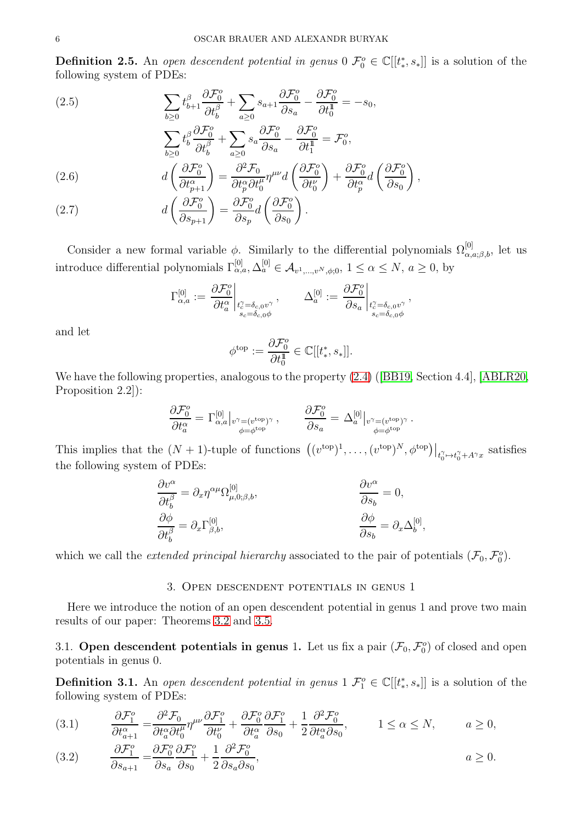<span id="page-5-5"></span>**Definition 2.5.** An open descendent potential in genus  $0 \ \mathcal{F}_0^o \in \mathbb{C}[[t_*^*, s_*]]$  is a solution of the following system of PDEs:

<span id="page-5-0"></span>(2.5) 
$$
\sum_{b\geq 0} t_{b+1}^{\beta} \frac{\partial \mathcal{F}_0^o}{\partial t_b^{\beta}} + \sum_{a\geq 0} s_{a+1} \frac{\partial \mathcal{F}_0^o}{\partial s_a} - \frac{\partial \mathcal{F}_0^o}{\partial t_0^{\mathbb{I}}} = -s_0,
$$

$$
\sum_{b\geq 0} t_b^{\beta} \frac{\partial \mathcal{F}_0^o}{\partial t_b^{\beta}} + \sum_{a\geq 0} s_a \frac{\partial \mathcal{F}_0^o}{\partial s_a} - \frac{\partial \mathcal{F}_0^o}{\partial t_1^{\mathbb{I}}} = \mathcal{F}_0^o,
$$

<span id="page-5-3"></span>(2.6) 
$$
d\left(\frac{\partial \mathcal{F}_0^o}{\partial t_{p+1}^\alpha}\right) = \frac{\partial^2 \mathcal{F}_0}{\partial t_p^\alpha \partial t_0^\mu} \eta^{\mu\nu} d\left(\frac{\partial \mathcal{F}_0^o}{\partial t_0^\nu}\right) + \frac{\partial \mathcal{F}_0^o}{\partial t_p^\alpha} d\left(\frac{\partial \mathcal{F}_0^o}{\partial s_0}\right),
$$

<span id="page-5-4"></span>(2.7) 
$$
d\left(\frac{\partial \mathcal{F}_0^o}{\partial s_{p+1}}\right) = \frac{\partial \mathcal{F}_0^o}{\partial s_p} d\left(\frac{\partial \mathcal{F}_0^o}{\partial s_0}\right).
$$

Consider a new formal variable  $\phi$ . Similarly to the differential polynomials  $\Omega_{\alpha,a;\beta,b}^{[0]}$ , let us introduce differential polynomials  $\Gamma_{\alpha,a}^{[0]}, \Delta_a^{[0]} \in \mathcal{A}_{v^1,\dots,v^N,\phi,0}, 1 \leq \alpha \leq N, a \geq 0$ , by

$$
\Gamma^{[0]}_{\alpha,a}:=\left.\frac{{\partial}\mathcal{F}^o_0}{{\partial} t^\alpha_a}\right|_{\substack{t^\gamma_c=\delta_{c,0}v^\gamma\\s_c=\delta_{c,0}\phi}},\qquad \Delta^{[0]}_a:=\left.\frac{{\partial}\mathcal{F}^o_0}{{\partial} s_a}\right|_{\substack{t^\gamma_c=\delta_{c,0}v^\gamma\\s_c=\delta_{c,0}\phi}},
$$

and let

$$
\phi^{\text{top}} := \frac{\partial \mathcal{F}_0^o}{\partial t_0^{\text{H}}} \in \mathbb{C}[[t_*^*, s_*]].
$$

We have the following properties, analogous to the property [\(2.4\)](#page-4-2)([\[BB19,](#page-10-14) Section 4.4], [\[ABLR20,](#page-10-19) Proposition 2.2]):

$$
\frac{\partial \mathcal{F}_0^o}{\partial t^\alpha_a} = \Gamma^{[0]}_{\alpha,a} \big|_{\substack{v^\gamma = (v^\text{top})^\gamma \\ \phi = \phi^\text{top}}} \,, \qquad \frac{\partial \mathcal{F}_0^o}{\partial s_a} = \Delta^{[0]}_a \big|_{\substack{v^\gamma = (v^\text{top})^\gamma \\ \phi = \phi^\text{top}}} \,.
$$

This implies that the  $(N+1)$ -tuple of functions  $((v^{top})^1, \ldots, (v^{top})^N, \phi^{top})|_{t_0^{\gamma} \mapsto t_0^{\gamma} + A^{\gamma}x}$  satisfies the following system of PDEs:

$$
\begin{aligned}\n\frac{\partial v^{\alpha}}{\partial t_{b}^{\beta}} &= \partial_{x} \eta^{\alpha \mu} \Omega^{[0]}_{\mu,0;\beta,b}, & \frac{\partial v^{\alpha}}{\partial s_{b}} &= 0, \\
\frac{\partial \phi}{\partial t_{b}^{\beta}} &= \partial_{x} \Gamma^{[0]}_{\beta,b}, & \frac{\partial \phi}{\partial s_{b}} &= \partial_{x} \Delta^{[0]}_{b},\n\end{aligned}
$$

which we call the *extended principal hierarchy* associated to the pair of potentials  $(\mathcal{F}_0, \mathcal{F}_0^o)$ .

## 3. Open descendent potentials in genus 1

Here we introduce the notion of an open descendent potential in genus 1 and prove two main results of our paper: Theorems [3.2](#page-6-0) and [3.5.](#page-8-0)

# 3.1. Open descendent potentials in genus 1. Let us fix a pair  $(\mathcal{F}_0, \mathcal{F}_0^o)$  of closed and open potentials in genus 0.

<span id="page-5-6"></span>**Definition 3.1.** An open descendent potential in genus  $\mathcal{F}_1^o \in \mathbb{C}[[t_*^*, s_*]]$  is a solution of the following system of PDEs:

<span id="page-5-1"></span>(3.1) 
$$
\frac{\partial \mathcal{F}_1^o}{\partial t_{a+1}^\alpha} = \frac{\partial^2 \mathcal{F}_0}{\partial t_a^\alpha \partial t_0^\mu} \eta^{\mu\nu} \frac{\partial \mathcal{F}_1^o}{\partial t_0^\nu} + \frac{\partial \mathcal{F}_0^o}{\partial t_a^\alpha} \frac{\partial \mathcal{F}_1^o}{\partial s_0} + \frac{1}{2} \frac{\partial^2 \mathcal{F}_0^o}{\partial t_a^\alpha \partial s_0}, \qquad 1 \le \alpha \le N, \qquad a \ge 0,
$$

<span id="page-5-2"></span>(3.2) 
$$
\frac{\partial \mathcal{F}_1^o}{\partial s_{a+1}} = \frac{\partial \mathcal{F}_0^o}{\partial s_a} \frac{\partial \mathcal{F}_1^o}{\partial s_0} + \frac{1}{2} \frac{\partial^2 \mathcal{F}_0^o}{\partial s_a \partial s_0}, \qquad a \ge 0.
$$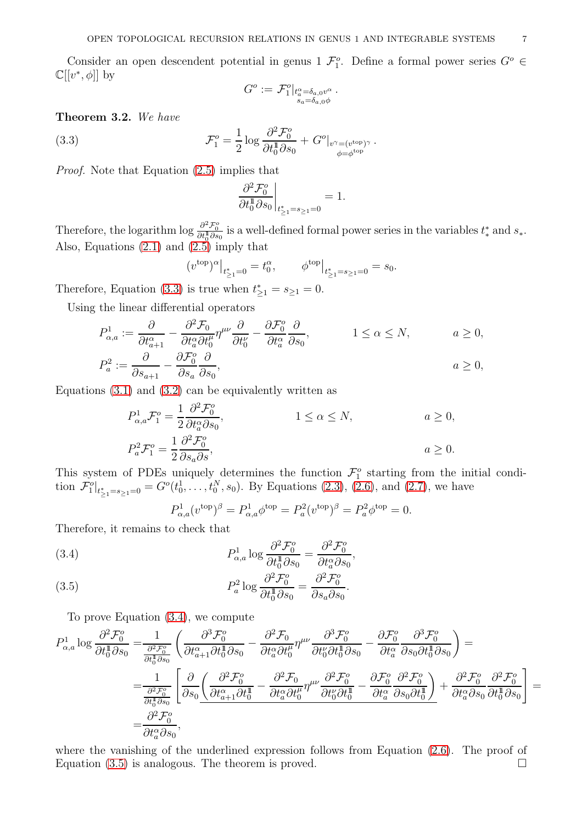Consider an open descendent potential in genus  $1 \mathcal{F}_1^o$ . Define a formal power series  $G^o \in$  $\mathbb{C}[[v^*,\phi]]$  by

$$
G^o := \mathcal{F}_1^o|_{t_a^\alpha = \delta_{a,0} v^\alpha}.
$$
  

$$
s_a = \delta_{a,0} \phi
$$

<span id="page-6-0"></span>Theorem 3.2. We have

<span id="page-6-1"></span>(3.3) 
$$
\mathcal{F}_1^o = \frac{1}{2} \log \frac{\partial^2 \mathcal{F}_0^o}{\partial t_0^1 \partial s_0} + G^o|_{v^{\gamma} = (v^{\text{top}})^{\gamma}}.
$$

Proof. Note that Equation [\(2.5\)](#page-5-0) implies that

$$
\left. \frac{\partial^2 \mathcal{F}_0^o}{\partial t_0^1 \partial s_0} \right|_{t_{\ge 1}^* = s_{\ge 1} = 0} = 1.
$$

Therefore, the logarithm  $\log \frac{\partial^2 \mathcal{F}_0^o}{\partial t_0^{\dagger} \partial s_0}$  is a well-defined formal power series in the variables  $t_*^*$  and  $s_*$ . Also, Equations [\(2.1\)](#page-4-0) and [\(2.5\)](#page-5-0) imply that

$$
(v^{\text{top}})^{\alpha}|_{t^*_{\geq 1} = 0} = t_0^{\alpha}, \qquad \phi^{\text{top}}|_{t^*_{\geq 1} = s_{\geq 1} = 0} = s_0.
$$

Therefore, Equation [\(3.3\)](#page-6-1) is true when  $t_{\geq 1}^* = s_{\geq 1} = 0$ .

Using the linear differential operators

$$
P_{\alpha,a}^1 := \frac{\partial}{\partial t_{a+1}^{\alpha}} - \frac{\partial^2 \mathcal{F}_0}{\partial t_a^{\alpha} \partial t_0^{\mu}} \eta^{\mu\nu} \frac{\partial}{\partial t_0^{\nu}} - \frac{\partial \mathcal{F}_0^o}{\partial t_a^{\alpha}} \frac{\partial}{\partial s_0}, \qquad 1 \le \alpha \le N, \qquad a \ge 0,
$$
  

$$
P_a^2 := \frac{\partial}{\partial s_{a+1}} - \frac{\partial \mathcal{F}_0^o}{\partial s_a} \frac{\partial}{\partial s_0}, \qquad a \ge 0,
$$

Equations  $(3.1)$  and  $(3.2)$  can be equivalently written as

$$
P_{\alpha,a}^1 \mathcal{F}_1^o = \frac{1}{2} \frac{\partial^2 \mathcal{F}_0^o}{\partial t_a^\alpha \partial s_0},
$$
  
\n
$$
P_a^2 \mathcal{F}_1^o = \frac{1}{2} \frac{\partial^2 \mathcal{F}_0^o}{\partial s_a \partial s},
$$
  
\n
$$
1 \le \alpha \le N,
$$
  
\n
$$
a \ge 0,
$$
  
\n
$$
a \ge 0.
$$

This system of PDEs uniquely determines the function  $\mathcal{F}_1^o$  starting from the initial condition  $\mathcal{F}_1^o|_{t_{\geq 1}^* = s_{\geq 1} = 0} = G^o(t_0^1, \ldots, t_0^N, s_0)$ . By Equations [\(2.3\)](#page-4-3), [\(2.6\)](#page-5-3), and [\(2.7\)](#page-5-4), we have

$$
P_{\alpha,a}^1(v^{top})^{\beta} = P_{\alpha,a}^1 \phi^{top} = P_a^2(v^{top})^{\beta} = P_a^2 \phi^{top} = 0.
$$

Therefore, it remains to check that

<span id="page-6-2"></span>(3.4) 
$$
P_{\alpha,a}^{1} \log \frac{\partial^{2} \mathcal{F}_{0}^{o}}{\partial t_{0}^{1} \partial s_{0}} = \frac{\partial^{2} \mathcal{F}_{0}^{o}}{\partial t_{a}^{\alpha} \partial s_{0}},
$$

<span id="page-6-3"></span>(3.5) 
$$
P_a^2 \log \frac{\partial^2 \mathcal{F}_0^o}{\partial t_0^1 \partial s_0} = \frac{\partial^2 \mathcal{F}_0^o}{\partial s_a \partial s_0}.
$$

To prove Equation [\(3.4\)](#page-6-2), we compute

$$
P_{\alpha,a}^{1} \log \frac{\partial^{2} \mathcal{F}_{0}^{o}}{\partial t_{0}^{1} \partial s_{0}} = \frac{1}{\frac{\partial^{2} \mathcal{F}_{0}^{o}}{\partial t_{0}^{1} \partial s_{0}}} \left( \frac{\partial^{3} \mathcal{F}_{0}^{o}}{\partial t_{a+1}^{\alpha} \partial t_{0}^{1} \partial s_{0}} - \frac{\partial^{2} \mathcal{F}_{0}^{o}}{\partial t_{a}^{\alpha} \partial t_{0}^{1} \partial t_{0}^{1} \partial s_{0}} - \frac{\partial \mathcal{F}_{0}^{o}}{\partial t_{a}^{\alpha} \partial s_{0} \partial t_{0}^{1} \partial s_{0}} \right) =
$$
  
\n
$$
= \frac{1}{\frac{\partial^{2} \mathcal{F}_{0}^{o}}{\partial t_{0}^{1} \partial s_{0}}} \left[ \frac{\partial}{\partial s_{0}} \left( \frac{\partial^{2} \mathcal{F}_{0}^{o}}{\partial t_{a+1}^{\alpha} \partial t_{0}^{1}} - \frac{\partial^{2} \mathcal{F}_{0}^{o}}{\partial t_{a}^{\alpha} \partial t_{0}^{1}} \eta^{\mu \nu} \frac{\partial^{2} \mathcal{F}_{0}^{o}}{\partial t_{0}^{\nu} \partial t_{0}^{1}} - \frac{\partial \mathcal{F}_{0}^{o}}{\partial t_{a}^{\alpha} \partial s_{0} \partial t_{0}^{1}} \right) + \frac{\partial^{2} \mathcal{F}_{0}^{o}}{\partial t_{a}^{\alpha} \partial s_{0}} \frac{\partial^{2} \mathcal{F}_{0}^{o}}{\partial t_{0}^{1} \partial s_{0}} \right] =
$$
  
\n
$$
= \frac{\partial^{2} \mathcal{F}_{0}^{o}}{\partial t_{a}^{\alpha} \partial s_{0}},
$$

where the vanishing of the underlined expression follows from Equation [\(2.6\)](#page-5-3). The proof of Equation [\(3.5\)](#page-6-3) is analogous. The theorem is proved.  $\square$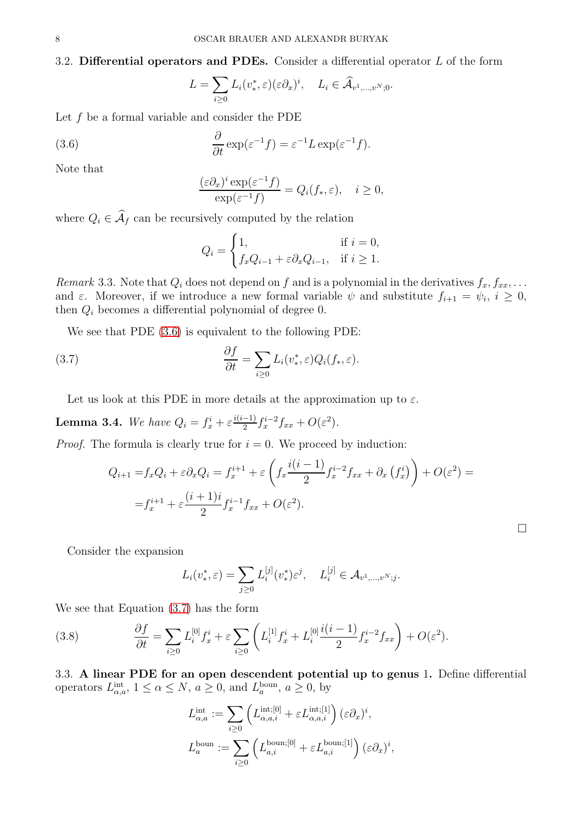## 3.2. Differential operators and PDEs. Consider a differential operator  $L$  of the form

$$
L = \sum_{i \geq 0} L_i(v^*, \varepsilon)(\varepsilon \partial_x)^i, \quad L_i \in \widehat{\mathcal{A}}_{v^1, \dots, v^N; 0}.
$$

Let  $f$  be a formal variable and consider the PDE

<span id="page-7-0"></span>(3.6) 
$$
\frac{\partial}{\partial t} \exp(\varepsilon^{-1} f) = \varepsilon^{-1} L \exp(\varepsilon^{-1} f).
$$

Note that

$$
\frac{(\varepsilon \partial_x)^i \exp(\varepsilon^{-1} f)}{\exp(\varepsilon^{-1} f)} = Q_i(f_*, \varepsilon), \quad i \ge 0,
$$

where  $Q_i \in \mathcal{A}_f$  can be recursively computed by the relation

$$
Q_i = \begin{cases} 1, & \text{if } i = 0, \\ f_x Q_{i-1} + \varepsilon \partial_x Q_{i-1}, & \text{if } i \ge 1. \end{cases}
$$

Remark 3.3. Note that  $Q_i$  does not depend on f and is a polynomial in the derivatives  $f_x, f_{xx}, \ldots$ and  $\varepsilon$ . Moreover, if we introduce a new formal variable  $\psi$  and substitute  $f_{i+1} = \psi_i$ ,  $i \geq 0$ , then  $Q_i$  becomes a differential polynomial of degree 0.

We see that PDE [\(3.6\)](#page-7-0) is equivalent to the following PDE:

<span id="page-7-1"></span>(3.7) 
$$
\frac{\partial f}{\partial t} = \sum_{i \geq 0} L_i(v^*, \varepsilon) Q_i(f_*, \varepsilon).
$$

Let us look at this PDE in more details at the approximation up to  $\varepsilon$ .

**Lemma 3.4.** We have  $Q_i = f_x^i + \varepsilon \frac{i(i-1)}{2}$  $\frac{(-1)}{2}f_x^{i-2}f_{xx} + O(\varepsilon^2).$ 

*Proof.* The formula is clearly true for  $i = 0$ . We proceed by induction:

$$
Q_{i+1} = f_x Q_i + \varepsilon \partial_x Q_i = f_x^{i+1} + \varepsilon \left( f_x \frac{i(i-1)}{2} f_x^{i-2} f_{xx} + \partial_x (f_x^i) \right) + O(\varepsilon^2) =
$$
  

$$
= f_x^{i+1} + \varepsilon \frac{(i+1)i}{2} f_x^{i-1} f_{xx} + O(\varepsilon^2).
$$

 $\Box$ 

Consider the expansion

$$
L_i(v^*, \varepsilon) = \sum_{j \ge 0} L_i^{[j]}(v^*) \varepsilon^j, \quad L_i^{[j]} \in \mathcal{A}_{v^1, \dots, v^N; j}
$$

.

We see that Equation [\(3.7\)](#page-7-1) has the form

<span id="page-7-2"></span>(3.8) 
$$
\frac{\partial f}{\partial t} = \sum_{i \ge 0} L_i^{[0]} f_x^i + \varepsilon \sum_{i \ge 0} \left( L_i^{[1]} f_x^i + L_i^{[0]} \frac{i(i-1)}{2} f_x^{i-2} f_{xx} \right) + O(\varepsilon^2).
$$

3.3. A linear PDE for an open descendent potential up to genus 1. Define differential operators  $L_{\alpha,a}^{\text{int}}, 1 \leq \alpha \leq N, a \geq 0$ , and  $L_a^{\text{boun}}, a \geq 0$ , by

$$
L_{\alpha,a}^{\text{int}} := \sum_{i\geq 0} \left( L_{\alpha,a,i}^{\text{int};[0]} + \varepsilon L_{\alpha,a,i}^{\text{int};[1]} \right) (\varepsilon \partial_x)^i,
$$
  

$$
L_a^{\text{boun}} := \sum_{i\geq 0} \left( L_{a,i}^{\text{boun};[0]} + \varepsilon L_{a,i}^{\text{boun};[1]} \right) (\varepsilon \partial_x)^i,
$$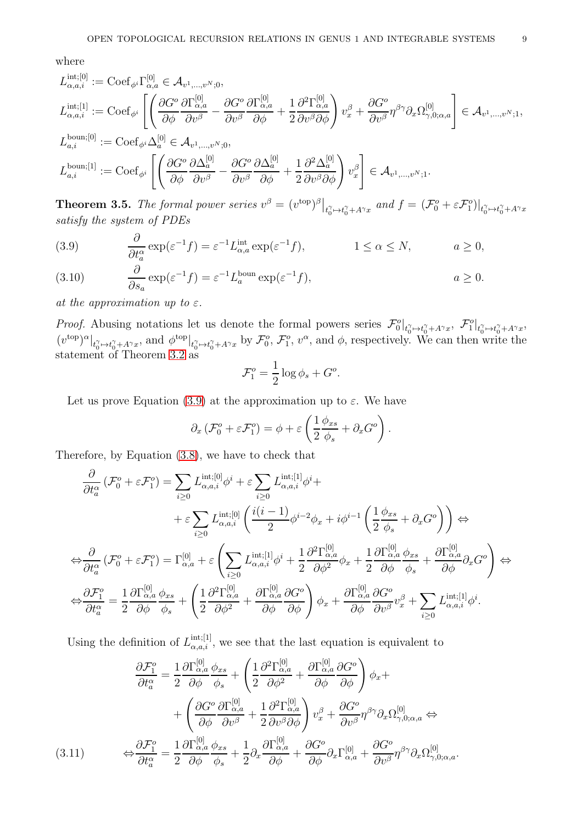where

$$
L_{\alpha,a,i}^{\text{int};[0]} := \text{Coef}_{\phi^i} \Gamma_{\alpha,a}^{[0]} \in \mathcal{A}_{v^1,\dots,v^N;0},
$$
\n
$$
L_{\alpha,a,i}^{\text{int};[1]} := \text{Coef}_{\phi^i} \left[ \left( \frac{\partial G^o}{\partial \phi} \frac{\partial \Gamma_{\alpha,a}^{[0]}}{\partial v^\beta} - \frac{\partial G^o}{\partial v^\beta} \frac{\partial \Gamma_{\alpha,a}^{[0]}}{\partial \phi} + \frac{1}{2} \frac{\partial^2 \Gamma_{\alpha,a}^{[0]}}{\partial v^\beta \partial \phi} \right) v_x^\beta + \frac{\partial G^o}{\partial v^\beta} \eta^{\beta \gamma} \partial_x \Omega_{\gamma,0;\alpha,a}^{[0]} \right] \in \mathcal{A}_{v^1,\dots,v^N;1},
$$
\n
$$
L_{a,i}^{\text{boun};[0]} := \text{Coef}_{\phi^i} \Delta_a^{[0]} \in \mathcal{A}_{v^1,\dots,v^N;0},
$$
\n
$$
L_{a,i}^{\text{boun};[1]} := \text{Coef}_{\phi^i} \left[ \left( \frac{\partial G^o}{\partial \phi} \frac{\partial \Delta_a^{[0]}}{\partial v^\beta} - \frac{\partial G^o}{\partial v^\beta} \frac{\partial \Delta_a^{[0]}}{\partial \phi} + \frac{1}{2} \frac{\partial^2 \Delta_a^{[0]}}{\partial v^\beta \partial \phi} \right) v_x^\beta \right] \in \mathcal{A}_{v^1,\dots,v^N;1}.
$$

<span id="page-8-0"></span>**Theorem 3.5.** The formal power series  $v^{\beta} = (v^{\text{top}})^{\beta} \big|_{t_0^{\gamma} \mapsto t_0^{\gamma} + A^{\gamma}x}$  and  $f = (\mathcal{F}_0^o + \varepsilon \mathcal{F}_1^o) \big|_{t_0^{\gamma} \mapsto t_0^{\gamma} + A^{\gamma}x}$ satisfy the system of PDEs

<span id="page-8-1"></span>(3.9) 
$$
\frac{\partial}{\partial t_a^{\alpha}} \exp(\varepsilon^{-1} f) = \varepsilon^{-1} L_{\alpha, a}^{\text{int}} \exp(\varepsilon^{-1} f), \qquad 1 \le \alpha \le N, \qquad a \ge 0,
$$

<span id="page-8-3"></span>(3.10) 
$$
\frac{\partial}{\partial s_a} \exp(\varepsilon^{-1} f) = \varepsilon^{-1} L_a^{\text{boun}} \exp(\varepsilon^{-1} f), \qquad a \ge 0.
$$

at the approximation up to  $\varepsilon$ .

*Proof.* Abusing notations let us denote the formal powers series  $\mathcal{F}_0^o|_{t_0^{\gamma} \mapsto t_0^{\gamma} + A^{\gamma}x}$ ,  $\mathcal{F}_1^o|_{t_0^{\gamma} \mapsto t_0^{\gamma} + A^{\gamma}x}$  $(v^{top})^{\alpha}|_{t_0^{\gamma} \mapsto t_0^{\gamma} + A^{\gamma}x}$ , and  $\phi^{top}|_{t_0^{\gamma} \mapsto t_0^{\gamma} + A^{\gamma}x}$  by  $\mathcal{F}_0^o$ ,  $\mathcal{F}_1^o$ ,  $v^{\alpha}$ , and  $\phi$ , respectively. We can then write the statement of Theorem [3.2](#page-6-0) as

$$
\mathcal{F}_1^o = \frac{1}{2} \log \phi_s + G^o.
$$

Let us prove Equation [\(3.9\)](#page-8-1) at the approximation up to  $\varepsilon$ . We have

$$
\partial_x \left( \mathcal{F}_0^o + \varepsilon \mathcal{F}_1^o \right) = \phi + \varepsilon \left( \frac{1}{2} \frac{\phi_{xs}}{\phi_s} + \partial_x G^o \right).
$$

Therefore, by Equation [\(3.8\)](#page-7-2), we have to check that

$$
\frac{\partial}{\partial t_{a}^{\alpha}}\left(\mathcal{F}_{0}^{o}+\varepsilon\mathcal{F}_{1}^{o}\right)=\sum_{i\geq0}L_{\alpha,a,i}^{\text{int};[0]}\phi^{i}+\varepsilon\sum_{i\geq0}L_{\alpha,a,i}^{\text{int};[1]}\phi^{i}+\n+ \varepsilon\sum_{i\geq0}L_{\alpha,a,i}^{\text{int};[0]}\left(\frac{i(i-1)}{2}\phi^{i-2}\phi_{x}+i\phi^{i-1}\left(\frac{1}{2}\frac{\phi_{xs}}{\phi_{s}}+\partial_{x}G^{o}\right)\right)\Leftrightarrow
$$
\n
$$
\Leftrightarrow \frac{\partial}{\partial t_{a}^{\alpha}}\left(\mathcal{F}_{0}^{o}+\varepsilon\mathcal{F}_{1}^{o}\right)=\Gamma_{\alpha,a}^{[0]}+\varepsilon\left(\sum_{i\geq0}L_{\alpha,a,i}^{\text{int};[1]}\phi^{i}+\frac{1}{2}\frac{\partial^{2}\Gamma_{\alpha,a}^{[0]}}{\partial\phi^{2}}\phi_{x}+\frac{1}{2}\frac{\partial\Gamma_{\alpha,a}^{[0]}}{\partial\phi}\frac{\phi_{xs}}{\phi_{s}}+\frac{\partial\Gamma_{\alpha,a}^{[0]}}{\partial\phi}\partial_{x}G^{o}\right)\Leftrightarrow
$$
\n
$$
\Leftrightarrow \frac{\partial\mathcal{F}_{1}^{o}}{\partial t_{a}^{\alpha}}=\frac{1}{2}\frac{\partial\Gamma_{\alpha,a}^{[0]}}{\partial\phi}\frac{\phi_{xs}}{\phi_{s}}+\left(\frac{1}{2}\frac{\partial^{2}\Gamma_{\alpha,a}^{[0]}}{\partial\phi^{2}}+\frac{\partial\Gamma_{\alpha,a}^{[0]}}{\partial\phi}\frac{\partial G^{o}}{\partial\phi}\right)\phi_{x}+\frac{\partial\Gamma_{\alpha,a}^{[0]}}{\partial\phi}\frac{\partial G^{o}}{\partial v^{\beta}}v_{x}^{\beta}+\sum_{i\geq0}L_{\alpha,a,i}^{\text{int};[1]}\phi^{i}.
$$

Using the definition of  $L_{\alpha,a,i}^{\text{int};[1]}$ , we see that the last equation is equivalent to

<span id="page-8-2"></span>
$$
\frac{\partial \mathcal{F}_{1}^{o}}{\partial t_{a}^{\alpha}} = \frac{1}{2} \frac{\partial \Gamma_{\alpha,a}^{[0]}}{\partial \phi} \frac{\phi_{xs}}{\phi_{s}} + \left( \frac{1}{2} \frac{\partial^{2} \Gamma_{\alpha,a}^{[0]}}{\partial \phi^{2}} + \frac{\partial \Gamma_{\alpha,a}^{[0]}}{\partial \phi} \frac{\partial G^{o}}{\partial \phi} \right) \phi_{x} + \n+ \left( \frac{\partial G^{o}}{\partial \phi} \frac{\partial \Gamma_{\alpha,a}^{[0]}}{\partial v^{\beta}} + \frac{1}{2} \frac{\partial^{2} \Gamma_{\alpha,a}^{[0]}}{\partial v^{\beta} \partial \phi} \right) v_{x}^{\beta} + \frac{\partial G^{o}}{\partial v^{\beta}} \eta^{\beta \gamma} \partial_{x} \Omega_{\gamma,0;\alpha,a}^{[0]} \Leftrightarrow \n(3.11) \qquad \Leftrightarrow \frac{\partial \mathcal{F}_{1}^{o}}{\partial t_{a}^{\alpha}} = \frac{1}{2} \frac{\partial \Gamma_{\alpha,a}^{[0]}}{\partial \phi} \frac{\phi_{xs}}{\phi_{s}} + \frac{1}{2} \partial_{x} \frac{\partial \Gamma_{\alpha,a}^{[0]}}{\partial \phi} + \frac{\partial G^{o}}{\partial \phi} \partial_{x} \Gamma_{\alpha,a}^{[0]} + \frac{\partial G^{o}}{\partial v^{\beta}} \eta^{\beta \gamma} \partial_{x} \Omega_{\gamma,0;\alpha,a}^{[0]}.
$$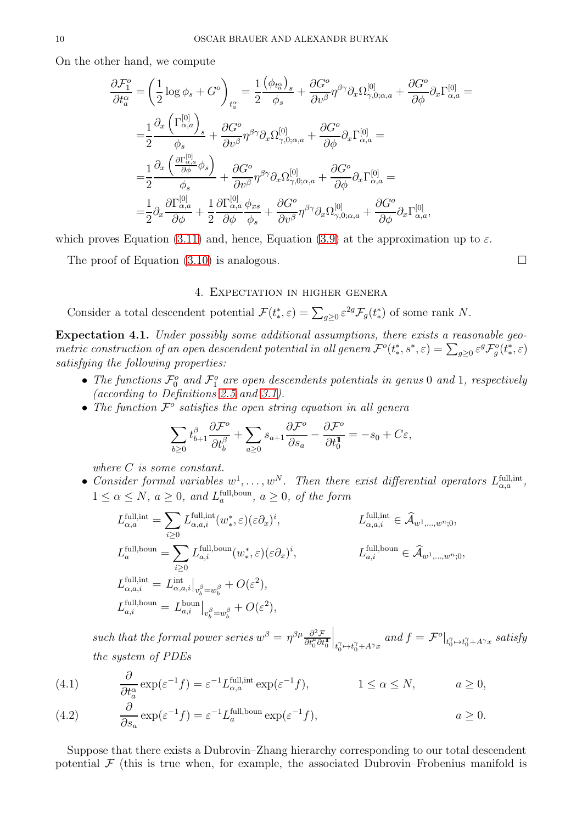On the other hand, we compute

$$
\frac{\partial \mathcal{F}_{1}^{o}}{\partial t_{a}^{\alpha}} = \left(\frac{1}{2}\log\phi_{s} + G^{o}\right)_{t_{a}^{\alpha}} = \frac{1}{2}\frac{(\phi_{t_{a}^{\alpha}})_{s}}{\phi_{s}} + \frac{\partial G^{o}}{\partial v^{\beta}}\eta^{\beta\gamma}\partial_{x}\Omega_{\gamma,0;\alpha,a}^{[0]} + \frac{\partial G^{o}}{\partial \phi}\partial_{x}\Gamma_{\alpha,a}^{[0]} =
$$
\n
$$
= \frac{1}{2}\frac{\partial_{x}\left(\Gamma_{\alpha,a}^{[0]}\right)_{s}}{\phi_{s}} + \frac{\partial G^{o}}{\partial v^{\beta}}\eta^{\beta\gamma}\partial_{x}\Omega_{\gamma,0;\alpha,a}^{[0]} + \frac{\partial G^{o}}{\partial \phi}\partial_{x}\Gamma_{\alpha,a}^{[0]} =
$$
\n
$$
= \frac{1}{2}\frac{\partial_{x}\left(\frac{\partial\Gamma_{\alpha,a}^{[0]}}{\partial \phi}\phi_{s}\right)}{\phi_{s}} + \frac{\partial G^{o}}{\partial v^{\beta}}\eta^{\beta\gamma}\partial_{x}\Omega_{\gamma,0;\alpha,a}^{[0]} + \frac{\partial G^{o}}{\partial \phi}\partial_{x}\Gamma_{\alpha,a}^{[0]} =
$$
\n
$$
= \frac{1}{2}\partial_{x}\frac{\partial\Gamma_{\alpha,a}^{[0]}}{\partial \phi} + \frac{1}{2}\frac{\partial\Gamma_{\alpha,a}^{[0]}}{\partial \phi}\frac{\phi_{xs}}{\phi_{s}} + \frac{\partial G^{o}}{\partial v^{\beta}}\eta^{\beta\gamma}\partial_{x}\Omega_{\gamma,0;\alpha,a}^{[0]} + \frac{\partial G^{o}}{\partial \phi}\partial_{x}\Gamma_{\alpha,a}^{[0]},
$$

which proves Equation [\(3.11\)](#page-8-2) and, hence, Equation [\(3.9\)](#page-8-1) at the approximation up to  $\varepsilon$ .

The proof of Equation  $(3.10)$  is analogous.

### 4. Expectation in higher genera

Consider a total descendent potential  $\mathcal{F}(t^*,\varepsilon) = \sum_{g\geq 0} \varepsilon^{2g} \mathcal{F}_g(t^*)$  of some rank N.

<span id="page-9-0"></span>Expectation 4.1. Under possibly some additional assumptions, there exists a reasonable geometric construction of an open descendent potential in all genera  $\mathcal{F}^o(t^*, s^*, \varepsilon) = \sum_{g\geq 0} \varepsilon^g \mathcal{F}^o_g(t^*, \varepsilon)$ satisfying the following properties:

- The functions  $\mathcal{F}_0^o$  and  $\mathcal{F}_1^o$  are open descendents potentials in genus 0 and 1, respectively (according to Definitions [2.5](#page-5-5) and [3.1\)](#page-5-6).
- The function  $\mathcal{F}^o$  satisfies the open string equation in all general

$$
\sum_{b\geq 0} t_{b+1}^\beta \frac{\partial \mathcal{F}^o}{\partial t_b^\beta} + \sum_{a\geq 0} s_{a+1} \frac{\partial \mathcal{F}^o}{\partial s_a} - \frac{\partial \mathcal{F}^o}{\partial t_0^1} = -s_0 + C\varepsilon,
$$

where C is some constant.

∂

• Consider formal variables  $w^1, \ldots, w^N$ . Then there exist differential operators  $L_{\alpha,a}^{\text{full,int}}$ ,  $1 \leq \alpha \leq N$ ,  $a \geq 0$ , and  $L_a^{\text{full,boun}}$ ,  $a \geq 0$ , of the form

$$
L_{\alpha,a}^{\text{full,int}} = \sum_{i\geq 0} L_{\alpha,a,i}^{\text{full,int}}(w^*_{*}, \varepsilon)(\varepsilon \partial_x)^i, \qquad L_{\alpha,a,i}^{\text{full,int}} \in \widehat{\mathcal{A}}_{w^1,\dots,w^n;0},
$$
  
\n
$$
L_{a}^{\text{full,bound}} = \sum_{i\geq 0} L_{a,i}^{\text{full,bound}}(w^*_{*}, \varepsilon)(\varepsilon \partial_x)^i, \qquad L_{a,i}^{\text{full,bound}} \in \widehat{\mathcal{A}}_{w^1,\dots,w^n;0},
$$
  
\n
$$
L_{\alpha,a,i}^{\text{full,hot}} = L_{\alpha,a,i}^{\text{int}}|_{v_b^{\beta} = w_b^{\beta}} + O(\varepsilon^2),
$$
  
\n
$$
L_{a,i}^{\text{full,bound}} = L_{a,i}^{\text{bound}}|_{v_b^{\beta} = w_b^{\beta}} + O(\varepsilon^2),
$$

such that the formal power series  $w^{\beta} = \eta^{\beta \mu} \frac{\partial^2 \mathcal{F}}{\partial t_0^{\mu} \partial t_0^{\mu}}$  $\bigg|_{t_0^\gamma \mapsto t_0^\gamma + A^\gamma x}$ and  $f = \mathcal{F}^o|_{t_0^{\gamma} \mapsto t_0^{\gamma} + A^{\gamma}x}$  satisfy the system of PDEs

(4.1) 
$$
\frac{\partial}{\partial t_a^{\alpha}} \exp(\varepsilon^{-1} f) = \varepsilon^{-1} L_{\alpha, a}^{\text{full, int}} \exp(\varepsilon^{-1} f), \qquad 1 \le \alpha \le N, \qquad a \ge 0,
$$

(4.2) 
$$
\frac{\partial}{\partial s_a} \exp(\varepsilon^{-1} f) = \varepsilon^{-1} L_a^{\text{full, bound}} \exp(\varepsilon^{-1} f), \qquad a \ge 0.
$$

Suppose that there exists a Dubrovin–Zhang hierarchy corresponding to our total descendent potential  $\mathcal F$  (this is true when, for example, the associated Dubrovin–Frobenius manifold is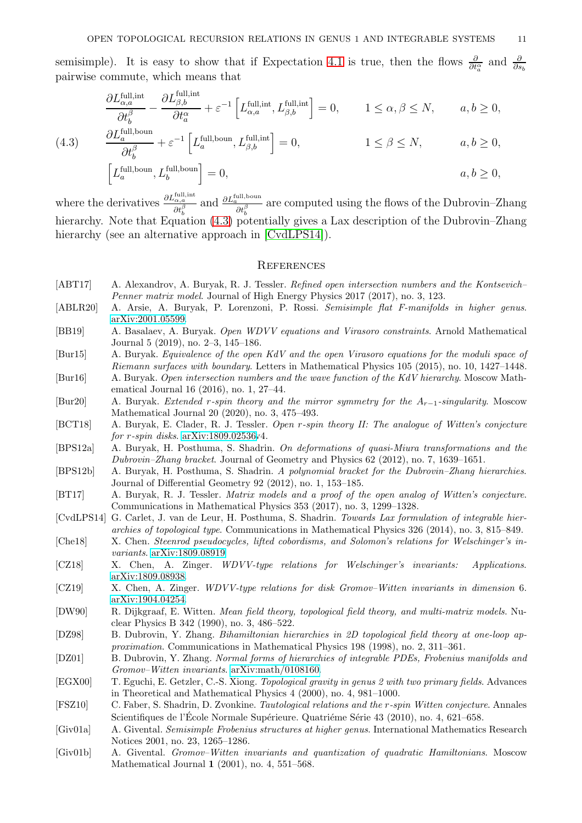semisimple). It is easy to show that if Expectation [4.1](#page-9-0) is true, then the flows  $\frac{\partial}{\partial t_a^{\alpha}}$  and  $\frac{\partial}{\partial s_b}$ pairwise commute, which means that

$$
\frac{\partial L_{\alpha,a}^{\text{full,int}}}{\partial t_b^{\beta}} - \frac{\partial L_{\beta,b}^{\text{full,int}}}{\partial t_a^{\alpha}} + \varepsilon^{-1} \left[ L_{\alpha,a}^{\text{full,int}}, L_{\beta,b}^{\text{full,int}} \right] = 0, \qquad 1 \le \alpha, \beta \le N, \qquad a, b \ge 0,
$$

<span id="page-10-20"></span>(4.3) 
$$
\frac{\partial L_a^{\text{full, bound}}}{\partial t_b^{\beta}} + \varepsilon^{-1} \left[ L_a^{\text{full, bound}}, L_{\beta, b}^{\text{full, int}} \right] = 0, \qquad 1 \le \beta \le N, \qquad a, b \ge 0,
$$

$$
\Big[L_a^{\text{full,boun}}, L_b^{\text{full,boun}}\Big] = 0, \qquad a, b \ge 0,
$$

where the derivatives  $\frac{\partial L_{\alpha,a}^{\text{full,int}}}{\partial t_b^{\beta}}$  and  $\frac{\partial L_a^{\text{full,boun}}}{\partial t_b^{\beta}}$  are computed using the flows of the Dubrovin–Zhang hierarchy. Note that Equation [\(4.3\)](#page-10-20) potentially gives a Lax description of the Dubrovin–Zhang hierarchy (see an alternative approach in [\[CvdLPS14\]](#page-10-21)).

#### **REFERENCES**

- <span id="page-10-18"></span>[ABT17] A. Alexandrov, A. Buryak, R. J. Tessler. Refined open intersection numbers and the Kontsevich– Penner matrix model. Journal of High Energy Physics 2017 (2017), no. 3, 123.
- <span id="page-10-19"></span>[ABLR20] A. Arsie, A. Buryak, P. Lorenzoni, P. Rossi. Semisimple flat F-manifolds in higher genus. [arXiv:2001.05599.](http://arxiv.org/abs/2001.05599)
- <span id="page-10-14"></span>[BB19] A. Basalaev, A. Buryak. Open WDVV equations and Virasoro constraints. Arnold Mathematical Journal 5 (2019), no. 2–3, 145–186.
- <span id="page-10-15"></span>[Bur15] A. Buryak. Equivalence of the open KdV and the open Virasoro equations for the moduli space of Riemann surfaces with boundary. Letters in Mathematical Physics 105 (2015), no. 10, 1427–1448.
- <span id="page-10-16"></span>[Bur16] A. Buryak. Open intersection numbers and the wave function of the KdV hierarchy. Moscow Mathematical Journal 16 (2016), no. 1, 27–44.
- <span id="page-10-13"></span>[Bur20] A. Buryak. Extended r-spin theory and the mirror symmetry for the Ar−1-singularity. Moscow Mathematical Journal 20 (2020), no. 3, 475–493.
- <span id="page-10-9"></span>[BCT18] A. Buryak, E. Clader, R. J. Tessler. Open r-spin theory II: The analogue of Witten's conjecture for *r*-spin disks. [arXiv:1809.02536v](http://arxiv.org/abs/1809.02536)4.
- <span id="page-10-7"></span>[BPS12a] A. Buryak, H. Posthuma, S. Shadrin. On deformations of quasi-Miura transformations and the Dubrovin–Zhang bracket. Journal of Geometry and Physics 62 (2012), no. 7, 1639–1651.
- <span id="page-10-8"></span>[BPS12b] A. Buryak, H. Posthuma, S. Shadrin. A polynomial bracket for the Dubrovin–Zhang hierarchies. Journal of Differential Geometry 92 (2012), no. 1, 153–185.
- <span id="page-10-17"></span>[BT17] A. Buryak, R. J. Tessler. Matrix models and a proof of the open analog of Witten's conjecture. Communications in Mathematical Physics 353 (2017), no. 3, 1299–1328.
- <span id="page-10-21"></span>[CvdLPS14] G. Carlet, J. van de Leur, H. Posthuma, S. Shadrin. Towards Lax formulation of integrable hierarchies of topological type. Communications in Mathematical Physics 326 (2014), no. 3, 815–849.
- <span id="page-10-10"></span>[Che18] X. Chen. Steenrod pseudocycles, lifted cobordisms, and Solomon's relations for Welschinger's invariants. [arXiv:1809.08919.](http://arxiv.org/abs/1809.08919)
- <span id="page-10-11"></span>[CZ18] X. Chen, A. Zinger. WDVV-type relations for Welschinger's invariants: Applications. [arXiv:1809.08938.](http://arxiv.org/abs/1809.08938)
- <span id="page-10-12"></span>[CZ19] X. Chen, A. Zinger. WDVV-type relations for disk Gromov–Witten invariants in dimension 6. [arXiv:1904.04254.](http://arxiv.org/abs/1904.04254)
- <span id="page-10-4"></span>[DW90] R. Dijkgraaf, E. Witten. Mean field theory, topological field theory, and multi-matrix models. Nuclear Physics B 342 (1990), no. 3, 486–522.
- <span id="page-10-5"></span>[DZ98] B. Dubrovin, Y. Zhang. Bihamiltonian hierarchies in 2D topological field theory at one-loop approximation. Communications in Mathematical Physics 198 (1998), no. 2, 311–361.
- <span id="page-10-6"></span>[DZ01] B. Dubrovin, Y. Zhang. Normal forms of hierarchies of integrable PDEs, Frobenius manifolds and Gromov–Witten invariants. [arXiv:math/0108160.](http://arxiv.org/abs/math/0108160)
- <span id="page-10-3"></span>[EGX00] T. Eguchi, E. Getzler, C.-S. Xiong. Topological gravity in genus 2 with two primary fields. Advances in Theoretical and Mathematical Physics 4 (2000), no. 4, 981–1000.
- <span id="page-10-2"></span>[FSZ10] C. Faber, S. Shadrin, D. Zvonkine. Tautological relations and the r-spin Witten conjecture. Annales Scientifiques de l'École Normale Supérieure. Quatriéme Série 43 (2010), no. 4, 621–658.
- <span id="page-10-0"></span>[Giv01a] A. Givental. Semisimple Frobenius structures at higher genus. International Mathematics Research Notices 2001, no. 23, 1265–1286.
- <span id="page-10-1"></span>[Giv01b] A. Givental. Gromov–Witten invariants and quantization of quadratic Hamiltonians. Moscow Mathematical Journal 1 (2001), no. 4, 551–568.